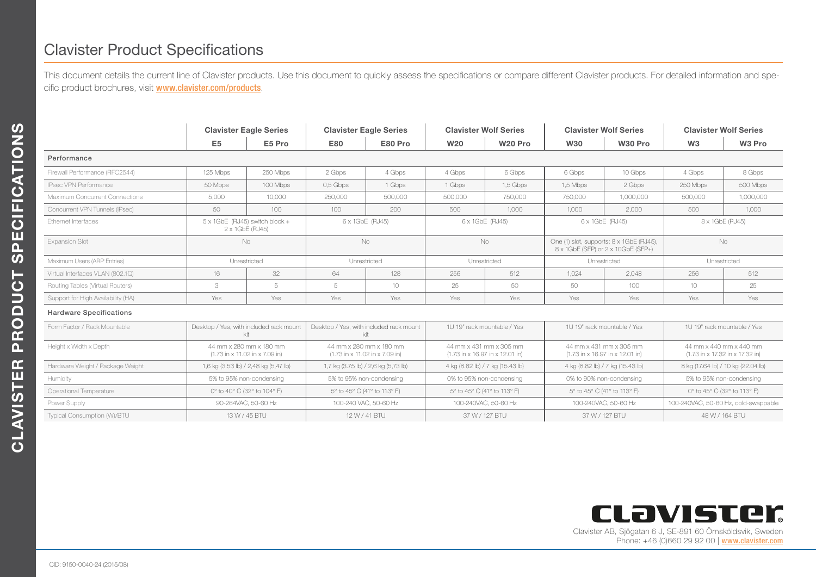## Clavister Product Specifications

This document details the current line of Clavister products. Use this document to quickly assess the specifications or compare different Clavister products. For detailed information and specific product brochures, visit **[www.clavister.com/products](http://www.clavister.com/products)**.

|                                    | <b>Clavister Eagle Series</b>                             |          | <b>Clavister Eagle Series</b>                             |         | <b>Clavister Wolf Series</b>                               |                     | <b>Clavister Wolf Series</b>                                                   |           | <b>Clavister Wolf Series</b>                               |           |
|------------------------------------|-----------------------------------------------------------|----------|-----------------------------------------------------------|---------|------------------------------------------------------------|---------------------|--------------------------------------------------------------------------------|-----------|------------------------------------------------------------|-----------|
|                                    | E <sub>5</sub>                                            | E5 Pro   | <b>E80</b>                                                | E80 Pro | W <sub>20</sub>                                            | W <sub>20</sub> Pro | <b>W30</b>                                                                     | W30 Pro   | W3                                                         | W3 Pro    |
| Performance                        |                                                           |          |                                                           |         |                                                            |                     |                                                                                |           |                                                            |           |
| Firewall Performance (RFC2544)     | 125 Mbps                                                  | 250 Mbps | 2 Gbps                                                    | 4 Gbps  | 4 Gbps                                                     | 6 Gbps              | 6 Gbps                                                                         | 10 Gbps   | 4 Gbps                                                     | 8 Gbps    |
| <b>IPsec VPN Performance</b>       | 50 Mbps                                                   | 100 Mbps | 0.5 Gbps                                                  | 1 Gbps  | 1 Gbps                                                     | 1.5 Gbps            | 1.5 Mbps                                                                       | 2 Gbps    | 250 Mbps                                                   | 500 Mbps  |
| Maximum Concurrent Connections     | 5,000                                                     | 10,000   | 250,000                                                   | 500,000 | 500,000                                                    | 750,000             | 750,000                                                                        | 1,000,000 | 500,000                                                    | 1,000,000 |
| Concurrent VPN Tunnels (IPsec)     | 50                                                        | 100      | 100                                                       | 200     | 500                                                        | 1.000               | 1.000                                                                          | 2.000     | 500                                                        | 1.000     |
| Ethernet Interfaces                | $5 \times 1$ GbE (RJ45) switch block +<br>2 x 1GbE (RJ45) |          | 6 x 1GbE (RJ45)                                           |         | 6 x 1GbE (RJ45)                                            |                     | 6 x 1GbE (RJ45)                                                                |           | 8 x 1GbE (RJ45)                                            |           |
| <b>Expansion Slot</b>              | <b>No</b>                                                 |          | <b>No</b>                                                 |         | <b>No</b>                                                  |                     | One (1) slot, supports: 8 x 1GbE (RJ45),<br>8 x 1GbE (SFP) or 2 x 10GbE (SFP+) |           | <b>No</b>                                                  |           |
| Maximum Users (ARP Entries)        | Unrestricted                                              |          | Unrestricted                                              |         | Unrestricted                                               |                     | Unrestricted                                                                   |           | Unrestricted                                               |           |
| Virtual Interfaces VLAN (802.1Q)   | 16                                                        | 32       | 64                                                        | 128     | 256                                                        | 512                 | 1.024                                                                          | 2.048     | 256                                                        | 512       |
| Routing Tables (Virtual Routers)   | 3                                                         | 5        | 5                                                         | 10      | 25                                                         | 50                  | 50                                                                             | 100       | 10                                                         | 25        |
| Support for High Availability (HA) | Yes                                                       | Yes      | Yes                                                       | Yes     | Yes                                                        | Yes                 | Yes                                                                            | Yes       | Yes                                                        | Yes       |
| <b>Hardware Specifications</b>     |                                                           |          |                                                           |         |                                                            |                     |                                                                                |           |                                                            |           |
| Form Factor / Rack Mountable       | Desktop / Yes, with included rack mount<br>kit            |          | Desktop / Yes, with included rack mount<br>kit            |         | 1U 19" rack mountable / Yes                                |                     | 1U 19" rack mountable / Yes                                                    |           | 1U 19" rack mountable / Yes                                |           |
| Height x Width x Depth             | 44 mm x 280 mm x 180 mm<br>(1.73 in x 11.02 in x 7.09 in) |          | 44 mm x 280 mm x 180 mm<br>(1.73 in x 11.02 in x 7.09 in) |         | 44 mm x 431 mm x 305 mm<br>(1.73 in x 16.97 in x 12.01 in) |                     | 44 mm x 431 mm x 305 mm<br>(1.73 in x 16.97 in x 12.01 in)                     |           | 44 mm x 440 mm x 440 mm<br>(1.73 in x 17.32 in x 17.32 in) |           |
| Hardware Weight / Package Weight   | 1,6 kg (3.53 lb) / 2,48 kg (5,47 lb)                      |          | 1,7 kg (3.75 lb) / 2,6 kg (5,73 lb)                       |         | 4 kg (8.82 lb) / 7 kg (15.43 lb)                           |                     | 4 kg (8.82 lb) / 7 kg (15.43 lb)                                               |           | 8 kg (17.64 lb) / 10 kg (22.04 lb)                         |           |
| Humidity                           | 5% to 95% non-condensing                                  |          | 5% to 95% non-condensing                                  |         | 0% to 95% non-condensing                                   |                     | 0% to 90% non-condensing                                                       |           | 5% to 95% non-condensing                                   |           |
| Operational Temperature            | 0° to 40° C (32° to 104° F)                               |          | 5° to 45° C (41° to 113° F)                               |         | 5° to 45° C (41° to 113° F)                                |                     | 5° to 45° C (41° to 113° F)                                                    |           | 0° to 45° C (32° to 113° F)                                |           |
| Power Supply                       | 90-264VAC, 50-60 Hz                                       |          | 100-240 VAC, 50-60 Hz                                     |         | 100-240VAC, 50-60 Hz                                       |                     | 100-240VAC, 50-60 Hz                                                           |           | 100-240VAC, 50-60 Hz, cold-swappable                       |           |
| Typical Consumption (W)/BTU        | 13 W / 45 BTU                                             |          | 12 W / 41 BTU                                             |         | 37 W / 127 BTU                                             |                     | 37 W / 127 BTU                                                                 |           | 48 W / 164 BTU                                             |           |